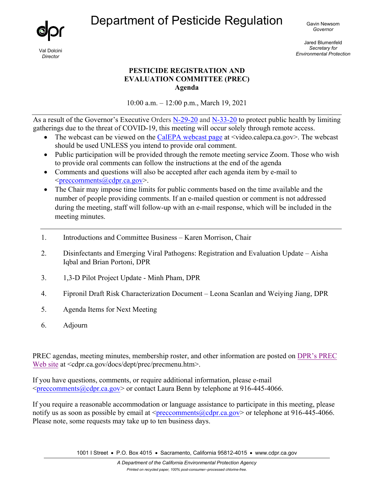Department of Pesticide Regulation



Val Dolcini *Director*

Gavin Newsom *Governor* 

Jared Blumenfeld *Secretary for Environmental Protection*

## **PESTICIDE REGISTRATION AND EVALUATION COMMITTEE (PREC) Agenda**

10:00 a.m. – 12:00 p.m., March 19, 2021

As a result of the Governor's Executive Orders [N-29-20](https://www.gov.ca.gov/wp-content/uploads/2020/03/3.17.20-N-29-20-EO.pdf) and [N-33-20](https://www.gov.ca.gov/wp-content/uploads/2020/03/3.19.20-attested-EO-N-33-20-COVID-19-HEALTH-ORDER.pdf) to protect public health by limiting gatherings due to the threat of COVID-19, this meeting will occur solely through remote access.

- The webcast can be viewed on the [CalEPA webcast page](https://video.calepa.ca.gov/) at  $\leq$ video.calepa.ca.gov $\geq$ . The webcast should be used UNLESS you intend to provide oral comment.
- Public participation will be provided through the remote meeting service Zoom. Those who wish to provide oral comments can follow the instructions at the end of the agenda
- Comments and questions will also be accepted after each agenda item by e-mail to  $\leq$ preccomments@cdpr.ca.gov>.
- The Chair may impose time limits for public comments based on the time available and the number of people providing comments. If an e-mailed question or comment is not addressed during the meeting, staff will follow-up with an e-mail response, which will be included in the meeting minutes.
- 1. Introductions and Committee Business Karen Morrison, Chair
- 2. Disinfectants and Emerging Viral Pathogens: Registration and Evaluation Update Aisha Iqbal and Brian Portoni, DPR
- 3. 1,3-D Pilot Project Update Minh Pham, DPR
- 4. Fipronil Draft Risk Characterization Document Leona Scanlan and Weiying Jiang, DPR
- 5. Agenda Items for Next Meeting
- 6. Adjourn

PREC agendas, meeting minutes, membership roster, and other information are posted on [DPR's PREC](https://www.cdpr.ca.gov/docs/dept/prec/precmenu.htm)  [Web site](https://www.cdpr.ca.gov/docs/dept/prec/precmenu.htm) at <cdpr.ca.gov/docs/dept/prec/precmenu.htm>.

If you have questions, comments, or require additional information, please e-mail  $\leq$ preccomments $@$ cdpr.ca.gov> or contact Laura Benn by telephone at 916-445-4066.

If you require a reasonable accommodation or language assistance to participate in this meeting, please notify us as soon as possible by email at [<preccomments@cdpr.ca.gov>](mailto:preccomments@cdpr.ca.gov) or telephone at 916-445-4066. Please note, some requests may take up to ten business days.

1001 I Street • P.O. Box 4015 • Sacramento, California 95812-4015 • www.cdpr.ca.gov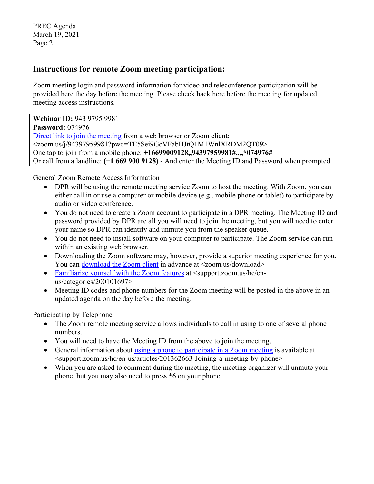PREC Agenda March 19, 2021 Page 2

## **Instructions for remote Zoom meeting participation:**

Zoom meeting login and password information for video and teleconference participation will be provided here the day before the meeting. Please check back here before the meeting for updated meeting access instructions.

**Webinar ID:** 943 9795 9981 **Password:** 074976 [Direct link to join the meeting](https://zoom.us/j/94397959981?pwd=TE5Sei9GcVFabHJtQ1M1WnlXRDM2QT09) from a web browser or Zoom client: <zoom.us/j/94397959981?pwd=TE5Sei9GcVFabHJtQ1M1WnlXRDM2QT09> One tap to join from a mobile phone: **+16699009128,,94397959981#,,,,\*074976#**  Or call from a landline: **(+1 669 900 9128)** - And enter the Meeting ID and Password when prompted

General Zoom Remote Access Information

- DPR will be using the remote meeting service Zoom to host the meeting. With Zoom, you can either call in or use a computer or mobile device (e.g., mobile phone or tablet) to participate by audio or video conference.
- You do not need to create a Zoom account to participate in a DPR meeting. The Meeting ID and password provided by DPR are all you will need to join the meeting, but you will need to enter your name so DPR can identify and unmute you from the speaker queue.
- You do not need to install software on your computer to participate. The Zoom service can run within an existing web browser.
- Downloading the Zoom software may, however, provide a superior meeting experience for you. You can [download the Zoom client](https://zoom.us/download) in advance at <zoom.us/download>
- [Familiarize yourself with the Zoom features](https://support.zoom.us/hc/en-us/categories/200101697) at  $\alpha$  support.zoom.us/hc/enus/categories/200101697>
- Meeting ID codes and phone numbers for the Zoom meeting will be posted in the above in an updated agenda on the day before the meeting.

Participating by Telephone

- The Zoom remote meeting service allows individuals to call in using to one of several phone numbers.
- You will need to have the Meeting ID from the above to join the meeting.
- General information about [using a phone to participate in a Zoom meeting](https://support.zoom.us/hc/en-us/articles/201362663-Joining-a-meeting-by-phone) is available at <support.zoom.us/hc/en-us/articles/201362663-Joining-a-meeting-by-phone>
- When you are asked to comment during the meeting, the meeting organizer will unmute your phone, but you may also need to press \*6 on your phone.